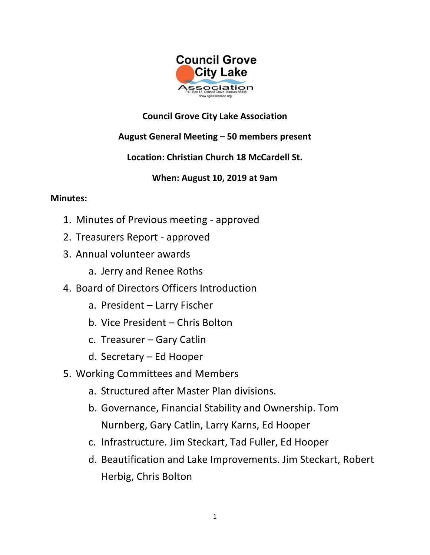

## **Council Grove City Lake Association**

# **August General Meeting – 50 members present**

# **Location: Christian Church 18 McCardell St.**

### **When: August 10, 2019 at 9am**

#### **Minutes:**

- 1. Minutes of Previous meeting approved
- 2. Treasurers Report approved
- 3. Annual volunteer awards
	- a. Jerry and Renee Roths
- 4. Board of Directors Officers Introduction
	- a. President Larry Fischer
	- b. Vice President Chris Bolton
	- c. Treasurer Gary Catlin
	- d. Secretary Ed Hooper
- 5. Working Committees and Members
	- a. Structured after Master Plan divisions.
	- b. Governance, Financial Stability and Ownership. Tom Nurnberg, Gary Catlin, Larry Karns, Ed Hooper
	- c. Infrastructure. Jim Steckart, Tad Fuller, Ed Hooper
	- d. Beautification and Lake Improvements. Jim Steckart, Robert Herbig, Chris Bolton